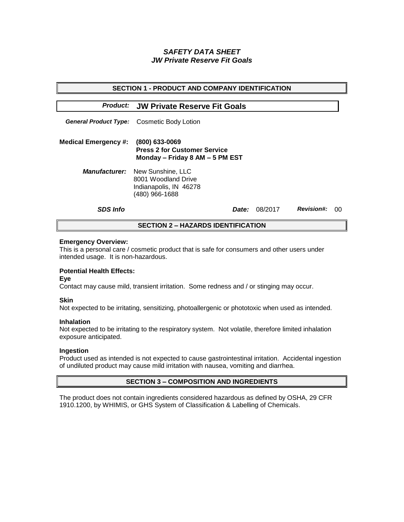# *SAFETY DATA SHEET JW Private Reserve Fit Goals*

| <b>SECTION 1 - PRODUCT AND COMPANY IDENTIFICATION</b> |                                                                                                           |         |                   |    |  |  |
|-------------------------------------------------------|-----------------------------------------------------------------------------------------------------------|---------|-------------------|----|--|--|
|                                                       | <b>Product: JW Private Reserve Fit Goals</b>                                                              |         |                   |    |  |  |
|                                                       | <b>General Product Type:</b> Cosmetic Body Lotion                                                         |         |                   |    |  |  |
| <b>Medical Emergency #:</b>                           | (800) 633-0069<br><b>Press 2 for Customer Service</b><br>Monday - Friday 8 AM - 5 PM EST                  |         |                   |    |  |  |
|                                                       | <b>Manufacturer:</b> New Sunshine, LLC<br>8001 Woodland Drive<br>Indianapolis, IN 46278<br>(480) 966-1688 |         |                   |    |  |  |
| <b>SDS Info</b>                                       | <i>Date:</i>                                                                                              | 08/2017 | <b>Revision#:</b> | 00 |  |  |
| <b>SECTION 2 – HAZARDS IDENTIFICATION</b>             |                                                                                                           |         |                   |    |  |  |

### **Emergency Overview:**

This is a personal care / cosmetic product that is safe for consumers and other users under intended usage. It is non-hazardous.

## **Potential Health Effects:**

**Eye**

Contact may cause mild, transient irritation. Some redness and / or stinging may occur.

## **Skin**

Not expected to be irritating, sensitizing, photoallergenic or phototoxic when used as intended.

#### **Inhalation**

Not expected to be irritating to the respiratory system. Not volatile, therefore limited inhalation exposure anticipated.

## **Ingestion**

Product used as intended is not expected to cause gastrointestinal irritation. Accidental ingestion of undiluted product may cause mild irritation with nausea, vomiting and diarrhea.

## **SECTION 3 – COMPOSITION AND INGREDIENTS**

The product does not contain ingredients considered hazardous as defined by OSHA, 29 CFR 1910.1200, by WHIMIS, or GHS System of Classification & Labelling of Chemicals.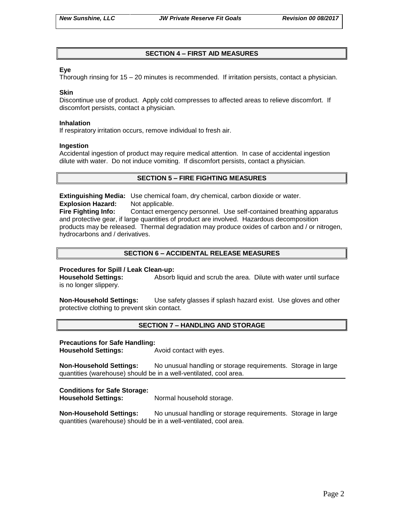# **SECTION 4 – FIRST AID MEASURES**

## **Eye**

Thorough rinsing for 15 – 20 minutes is recommended. If irritation persists, contact a physician.

### **Skin**

Discontinue use of product. Apply cold compresses to affected areas to relieve discomfort. If discomfort persists, contact a physician.

### **Inhalation**

If respiratory irritation occurs, remove individual to fresh air.

### **Ingestion**

Accidental ingestion of product may require medical attention. In case of accidental ingestion dilute with water. Do not induce vomiting. If discomfort persists, contact a physician.

# **SECTION 5 – FIRE FIGHTING MEASURES**

**Extinguishing Media:** Use chemical foam, dry chemical, carbon dioxide or water. **Explosion Hazard:** Not applicable.

**Fire Fighting Info:** Contact emergency personnel. Use self-contained breathing apparatus and protective gear, if large quantities of product are involved. Hazardous decomposition products may be released. Thermal degradation may produce oxides of carbon and / or nitrogen, hydrocarbons and / derivatives.

# **SECTION 6 – ACCIDENTAL RELEASE MEASURES**

## **Procedures for Spill / Leak Clean-up:**

**Household Settings:** Absorb liquid and scrub the area. Dilute with water until surface is no longer slippery.

**Non-Household Settings:** Use safety glasses if splash hazard exist. Use gloves and other protective clothing to prevent skin contact.

## **SECTION 7 – HANDLING AND STORAGE**

#### **Precautions for Safe Handling:**

**Household Settings:** Avoid contact with eyes.

**Non-Household Settings:** No unusual handling or storage requirements. Storage in large quantities (warehouse) should be in a well-ventilated, cool area.

## **Conditions for Safe Storage:**

**Household Settings:** Normal household storage.

**Non-Household Settings:** No unusual handling or storage requirements. Storage in large quantities (warehouse) should be in a well-ventilated, cool area.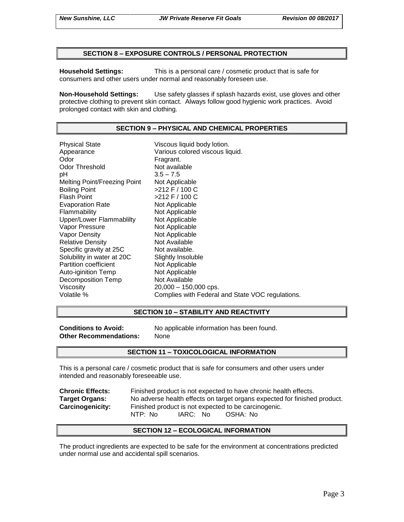## **SECTION 8 – EXPOSURE CONTROLS / PERSONAL PROTECTION**

**Household Settings:** This is a personal care / cosmetic product that is safe for consumers and other users under normal and reasonably foreseen use.

**Non-Household Settings:** Use safety glasses if splash hazards exist, use gloves and other protective clothing to prevent skin contact. Always follow good hygienic work practices. Avoid prolonged contact with skin and clothing.

# **SECTION 9 – PHYSICAL AND CHEMICAL PROPERTIES**

Physical State Viscous liquid body lotion. Appearance Various colored viscous liquid.<br>
Odor Color Color Fragrant. Odor Threshold Not available pH 3.5 – 7.5 Melting Point/Freezing Point Not Applicable Boiling Point >212 F / 100 C Flash Point  $>212$  F / 100 C Evaporation Rate Not Applicable Flammability Not Applicable Upper/Lower Flammablilty Not Applicable Vapor Pressure Not Applicable Vapor Density Not Applicable Relative Density Not Available Specific gravity at 25C Not available. Solubility in water at 20C Slightly Insoluble<br>
Partition coefficient
Subsetted Not Applicable Partition coefficient<br>
Auto-iginition Temp<br>
Not Applicable Auto-iginition Temp Decomposition Temp Not Available Viscosity 20,000 – 150,000 cps. Volatile % Complies with Federal and State VOC regulations.

### **SECTION 10 – STABILITY AND REACTIVITY**

**Other Recommendations:** None

**Conditions to Avoid:** No applicable information has been found.

#### **SECTION 11 – TOXICOLOGICAL INFORMATION**

This is a personal care / cosmetic product that is safe for consumers and other users under intended and reasonably foreseeable use.

| <b>Chronic Effects:</b> | Finished product is not expected to have chronic health effects.          |  |  |
|-------------------------|---------------------------------------------------------------------------|--|--|
| <b>Target Organs:</b>   | No adverse health effects on target organs expected for finished product. |  |  |
| <b>Carcinogenicity:</b> | Finished product is not expected to be carcinogenic.                      |  |  |
|                         | NTP: No<br>IARC: No<br>OSHA: No                                           |  |  |

#### **SECTION 12 – ECOLOGICAL INFORMATION**

The product ingredients are expected to be safe for the environment at concentrations predicted under normal use and accidental spill scenarios.